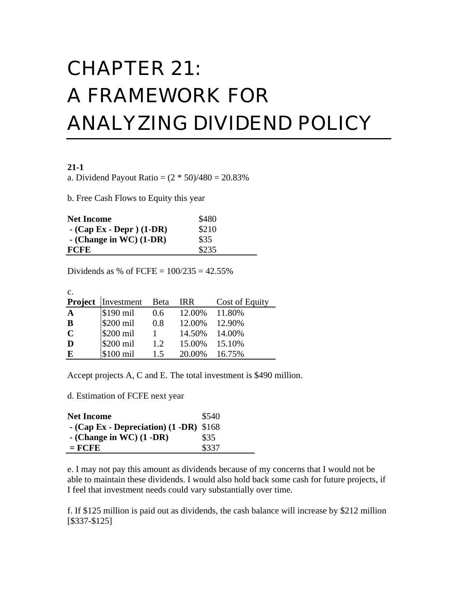# CHAPTER 21: A FRAMEWORK FOR ANALYZING DIVIDEND POLICY

#### **21-1**

a. Dividend Payout Ratio =  $(2 * 50)/480 = 20.83%$ 

b. Free Cash Flows to Equity this year

| <b>Net Income</b>           | \$480 |
|-----------------------------|-------|
| $-$ (Cap Ex - Depr ) (1-DR) | \$210 |
| $-$ (Change in WC) (1-DR)   | \$35  |
| <b>FCFE</b>                 | \$235 |

Dividends as % of FCFE =  $100/235 = 42.55%$ 

| $\mathbf{c}$ .          |                         |         |               |                |
|-------------------------|-------------------------|---------|---------------|----------------|
|                         | Project Investment Beta |         | <b>IRR</b>    | Cost of Equity |
| $\mathbf{A}$            | $$190$ mil              | $0.6\,$ | 12.00% 11.80% |                |
| $\overline{\mathbf{B}}$ | $$200$ mil              | 0.8     | 12.00% 12.90% |                |
| $\overline{C}$          | \$200 mil               |         | 14.50% 14.00% |                |
| D                       | \$200 mil               | 1.2     | 15.00% 15.10% |                |
| E                       | \$100 mil               | 1.5     | 20.00%        | 16.75%         |

Accept projects A, C and E. The total investment is \$490 million.

d. Estimation of FCFE next year

| <b>Net Income</b>                         | \$540 |
|-------------------------------------------|-------|
| $-$ (Cap Ex - Depreciation) (1 -DR) \$168 |       |
| $-$ (Change in WC) $(1 - DR)$             | \$35  |
| $=$ FCFE                                  | \$337 |

e. I may not pay this amount as dividends because of my concerns that I would not be able to maintain these dividends. I would also hold back some cash for future projects, if I feel that investment needs could vary substantially over time.

f. If \$125 million is paid out as dividends, the cash balance will increase by \$212 million [\$337-\$125]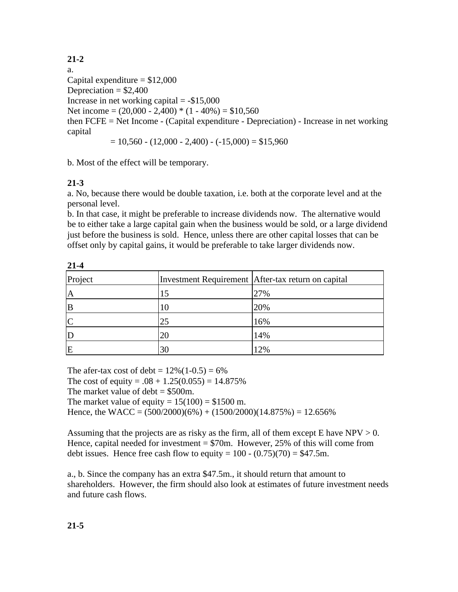## **21-2**

a. Capital expenditure  $= $12,000$ Depreciation  $= $2,400$ Increase in net working capital  $= -\$15,000$ Net income =  $(20,000 - 2,400) * (1 - 40\%) = $10,560$ then FCFE = Net Income - (Capital expenditure - Depreciation) - Increase in net working capital

 $= 10,560 - (12,000 - 2,400) - (-15,000) = $15,960$ 

b. Most of the effect will be temporary.

## **21-3**

a. No, because there would be double taxation, i.e. both at the corporate level and at the personal level.

b. In that case, it might be preferable to increase dividends now. The alternative would be to either take a large capital gain when the business would be sold, or a large dividend just before the business is sold. Hence, unless there are other capital losses that can be offset only by capital gains, it would be preferable to take larger dividends now.

| 41-4    |                |                                                    |
|---------|----------------|----------------------------------------------------|
| Project |                | Investment Requirement After-tax return on capital |
| A       | 15             | 27%                                                |
|         |                | 20%                                                |
|         | 25             | 16%                                                |
|         | 20             | 14%                                                |
| E       | 3 <sup>0</sup> | 12%                                                |

**21-4**

The afer-tax cost of debt =  $12\%(1-0.5) = 6\%$ The cost of equity =  $.08 + 1.25(0.055) = 14.875\%$ The market value of debt  $= $500$ m. The market value of equity  $= 15(100) = $1500$  m. Hence, the WACC =  $(500/2000)(6\%) + (1500/2000)(14.875\%) = 12.656\%$ 

Assuming that the projects are as risky as the firm, all of them except E have  $NPV > 0$ . Hence, capital needed for investment  $= $70$ m. However, 25% of this will come from debt issues. Hence free cash flow to equity =  $100 - (0.75)(70) = $47.5$ m.

a., b. Since the company has an extra \$47.5m., it should return that amount to shareholders. However, the firm should also look at estimates of future investment needs and future cash flows.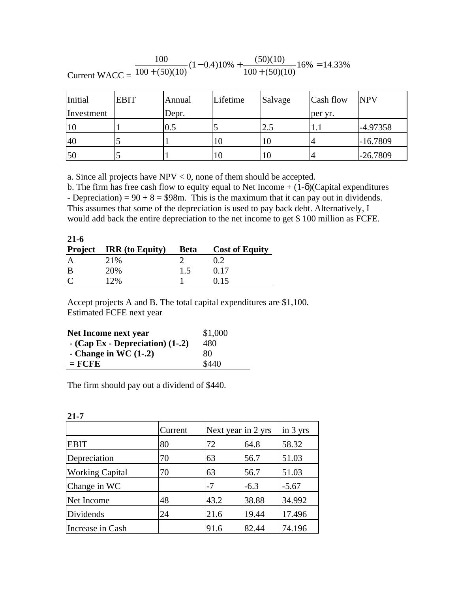Current  $WACC =$  $100 \t\t(1)$  $100 + (50)(10)$  $1 - 0.410\% + \frac{(50)(10)}{(50)(10)}16\%$  $100 + (50)(10)$  $16\% = 14.33\%$  $+(50)(10)^{^{\circ}}$  $-0.410\% + \frac{(30)(10)}{100}$  $+(50)(10)$  $=14.33\%$  $(50)(10)$  $(1-0.4)10\% + \frac{(50)(10)}{(1.00)(10)}16$  $(50)(10)$ .33%

| Initial    | <b>EBIT</b> | Annual | Lifetime | Salvage | Cash flow | <b>NPV</b> |
|------------|-------------|--------|----------|---------|-----------|------------|
| Investment |             | Depr.  |          |         | per yr.   |            |
|            |             | 0.5    |          | 2.5     |           | -4.97358   |
| 40         |             |        | 10       | 10      |           | $-16.7809$ |
| 50         |             |        |          | ΙU      | 4         | $-26.7809$ |

a. Since all projects have  $NPV < 0$ , none of them should be accepted.

b. The firm has free cash flow to equity equal to Net Income  $+ (1-)$  (Capital expenditures - Depreciation) =  $90 + 8 = $98$ m. This is the maximum that it can pay out in dividends. This assumes that some of the depreciation is used to pay back debt. Alternatively, I would add back the entire depreciation to the net income to get \$ 100 million as FCFE.

| $21 - 6$    |                         |             |                       |
|-------------|-------------------------|-------------|-----------------------|
|             | Project IRR (to Equity) | <b>Beta</b> | <b>Cost of Equity</b> |
|             | 21%                     |             | 0.2                   |
| B           | 20%                     | 1.5         | 0.17                  |
| $\mathbf C$ | 12%                     |             | በ 15                  |

Accept projects A and B. The total capital expenditures are \$1,100. Estimated FCFE next year

| Net Income next year               | \$1,000 |
|------------------------------------|---------|
| $-$ (Cap Ex - Depreciation) (1-.2) | 480     |
| - Change in WC $(1-2)$             | 80      |
| $=$ FCFE                           | \$440   |

The firm should pay out a dividend of \$440.

|                        | Current | Next year in 2 yrs |        | $in 3$ yrs |
|------------------------|---------|--------------------|--------|------------|
| <b>EBIT</b>            | 80      | 72                 | 64.8   | 58.32      |
| Depreciation           | 70      | 63                 | 56.7   | 51.03      |
| <b>Working Capital</b> | 70      | 63                 | 56.7   | 51.03      |
| Change in WC           |         | -7                 | $-6.3$ | $-5.67$    |
| Net Income             | 48      | 43.2               | 38.88  | 34.992     |
| Dividends              | 24      | 21.6               | 19.44  | 17.496     |
| Increase in Cash       |         | 91.6               | 82.44  | 74.196     |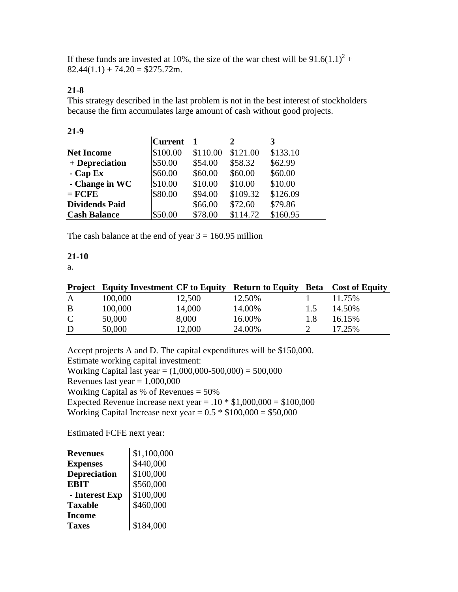If these funds are invested at 10%, the size of the war chest will be  $91.6(1.1)^2 +$  $82.44(1.1) + 74.20 = $275.72$ m.

## **21-8**

This strategy described in the last problem is not in the best interest of stockholders because the firm accumulates large amount of cash without good projects.

| ٧ |
|---|
|   |

|                       | <b>Current</b> |          |          |          |
|-----------------------|----------------|----------|----------|----------|
| <b>Net Income</b>     | \$100.00       | \$110.00 | \$121.00 | \$133.10 |
| + Depreciation        | \$50.00        | \$54.00  | \$58.32  | \$62.99  |
| $-$ Cap Ex            | \$60.00        | \$60.00  | \$60.00  | \$60.00  |
| - Change in WC        | \$10.00        | \$10.00  | \$10.00  | \$10.00  |
| $=$ FCFE              | \$80.00        | \$94.00  | \$109.32 | \$126.09 |
| <b>Dividends Paid</b> |                | \$66.00  | \$72.60  | \$79.86  |
| <b>Cash Balance</b>   | \$50.00        | \$78.00  | \$114.72 | \$160.95 |

The cash balance at the end of year  $3 = 160.95$  million

## **21-10**

a.

| 100,000 | 12,500 | 12.50%                                        |        | 11.75%                                      |
|---------|--------|-----------------------------------------------|--------|---------------------------------------------|
| 100,000 | 14,000 | 14.00%                                        | 1.5    | 14.50%                                      |
| 50,000  | 8,000  | 16.00%                                        | 1.8    | 16.15%                                      |
| 50,000  | 12,000 |                                               |        | 17.25%                                      |
|         |        | <b>Project</b> Equity Investment CF to Equity | 24.00% | <b>Return to Equity Beta</b> Cost of Equity |

Accept projects A and D. The capital expenditures will be \$150,000. Estimate working capital investment: Working Capital last year =  $(1,000,000-500,000) = 500,000$ Revenues last year  $= 1,000,000$ Working Capital as % of Revenues = 50% Expected Revenue increase next year =  $.10 * $1,000,000 = $100,000$ Working Capital Increase next year =  $0.5 * $100,000 = $50,000$ 

Estimated FCFE next year:

| <b>Revenues</b>     | \$1,100,000 |
|---------------------|-------------|
| <b>Expenses</b>     | \$440,000   |
| <b>Depreciation</b> | \$100,000   |
| <b>EBIT</b>         | \$560,000   |
| - Interest Exp      | \$100,000   |
| <b>Taxable</b>      | \$460,000   |
| <b>Income</b>       |             |
| <b>Taxes</b>        | \$184,000   |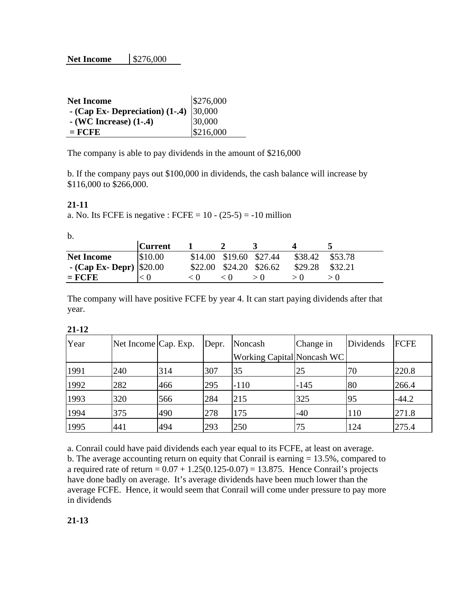| <b>Net Income</b>                       | \$276,000 |
|-----------------------------------------|-----------|
| - (Cap Ex- Depreciation) $(1-4)$ 30,000 |           |
| $-$ (WC Increase) $(1-0.4)$             | 30,000    |
| $=$ FCFE                                | \$216,000 |

The company is able to pay dividends in the amount of \$216,000

b. If the company pays out \$100,000 in dividends, the cash balance will increase by \$116,000 to \$266,000.

#### **21-11**

a. No. Its FCFE is negative : FCFE =  $10 - (25-5) = -10$  million

b.

|                            | <b>Current</b> |                         |         |         |
|----------------------------|----------------|-------------------------|---------|---------|
| <b>Net Income</b>          | \$10.00        | \$14.00 \$19.60 \$27.44 | \$38.42 | \$53.78 |
| - (Cap Ex- Depr) $ 20.00 $ |                | \$22.00 \$24.20 \$26.62 | \$29.28 | \$32.21 |
| $=$ FCFE                   |                | $\leq 0$                |         |         |

The company will have positive FCFE by year 4. It can start paying dividends after that year.

**21-12**

| Year | Net Income Cap. Exp. |     | Depr. | Noncash                           | Change in | Dividends | FCFE    |
|------|----------------------|-----|-------|-----------------------------------|-----------|-----------|---------|
|      |                      |     |       | <b>Working Capital Noncash WC</b> |           |           |         |
| 1991 | 240                  | 314 | 307   | 35                                | 25        | 70        | 220.8   |
| 1992 | 282                  | 466 | 295   | $-110$                            | $-145$    | 80        | 266.4   |
| 1993 | 320                  | 566 | 284   | 215                               | 325       | 95        | $-44.2$ |
| 1994 | 375                  | 490 | 278   | 175                               | $-40$     | 110       | 271.8   |
| 1995 | 441                  | 494 | 293   | 250                               | 75        | 124       | 275.4   |

a. Conrail could have paid dividends each year equal to its FCFE, at least on average. b. The average accounting return on equity that Conrail is earning = 13.5%, compared to a required rate of return =  $0.07 + 1.25(0.125 - 0.07) = 13.875$ . Hence Conrail's projects have done badly on average. It's average dividends have been much lower than the average FCFE. Hence, it would seem that Conrail will come under pressure to pay more in dividends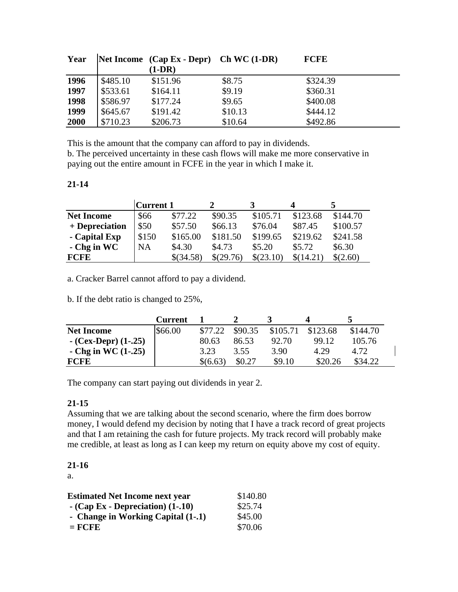| Year |          | Net Income $(Cap Ex - Depr)$ Ch WC $(1-DR)$ |         | <b>FCFE</b> |
|------|----------|---------------------------------------------|---------|-------------|
|      |          | $(1-DR)$                                    |         |             |
| 1996 | \$485.10 | \$151.96                                    | \$8.75  | \$324.39    |
| 1997 | \$533.61 | \$164.11                                    | \$9.19  | \$360.31    |
| 1998 | \$586.97 | \$177.24                                    | \$9.65  | \$400.08    |
| 1999 | \$645.67 | \$191.42                                    | \$10.13 | \$444.12    |
| 2000 | \$710.23 | \$206.73                                    | \$10.64 | \$492.86    |

This is the amount that the company can afford to pay in dividends.

b. The perceived uncertainty in these cash flows will make me more conservative in paying out the entire amount in FCFE in the year in which I make it.

## **21-14**

|                   | <b>Current 1</b> |           |           |           | 4         |          |
|-------------------|------------------|-----------|-----------|-----------|-----------|----------|
| <b>Net Income</b> | \$66             | \$77.22   | \$90.35   | \$105.71  | \$123.68  | \$144.70 |
| + Depreciation    | \$50             | \$57.50   | \$66.13   | \$76.04   | \$87.45   | \$100.57 |
| - Capital Exp     | \$150            | \$165.00  | \$181.50  | \$199.65  | \$219.62  | \$241.58 |
| $-Chg$ in WC      | <b>NA</b>        | \$4.30    | \$4.73    | \$5.20    | \$5.72    | \$6.30   |
| <b>FCFE</b>       |                  | \$(34.58) | \$(29.76) | \$(23.10) | \$(14.21) | \$(2.60) |

a. Cracker Barrel cannot afford to pay a dividend.

b. If the debt ratio is changed to 25%,

|                          | <b>Current</b> |          |         |          |          |          |
|--------------------------|----------------|----------|---------|----------|----------|----------|
| <b>Net Income</b>        | \$66.00        | \$77.22  | \$90.35 | \$105.71 | \$123.68 | \$144.70 |
| $-$ (Cex-Depr) $(1-.25)$ |                | 80.63    | 86.53   | 92.70    | 99.12    | 105.76   |
| - Chg in WC $(1-25)$     |                | 3.23     | 3.55    | 3.90     | 4.29     | 4.72.    |
| <b>FCFE</b>              |                | \$(6.63) | \$0.27  | \$9.10   | \$20.26  | \$34.22  |

The company can start paying out dividends in year 2.

## **21-15**

Assuming that we are talking about the second scenario, where the firm does borrow money, I would defend my decision by noting that I have a track record of great projects and that I am retaining the cash for future projects. My track record will probably make me credible, at least as long as I can keep my return on equity above my cost of equity.

## **21-16**

a.

| <b>Estimated Net Income next year</b> | \$140.80 |
|---------------------------------------|----------|
| $-$ (Cap Ex - Depreciation) $(1-10)$  | \$25.74  |
| - Change in Working Capital (1-.1)    | \$45.00  |
| $=$ FCFE                              | \$70.06  |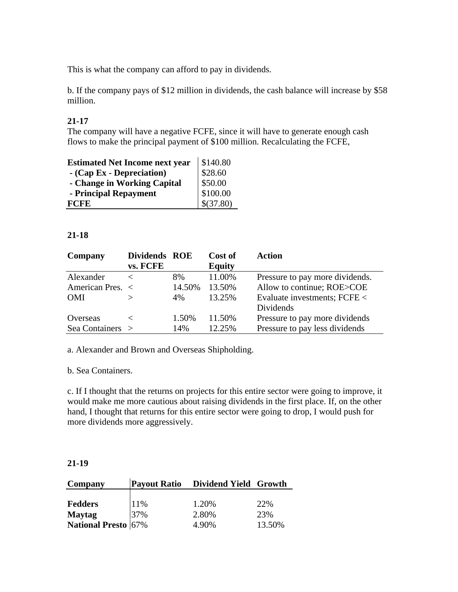This is what the company can afford to pay in dividends.

b. If the company pays of \$12 million in dividends, the cash balance will increase by \$58 million.

## **21-17**

The company will have a negative FCFE, since it will have to generate enough cash flows to make the principal payment of \$100 million. Recalculating the FCFE,

| <b>Estimated Net Income next year</b> | \$140.80  |
|---------------------------------------|-----------|
| - (Cap Ex - Depreciation)             | \$28.60   |
| - Change in Working Capital           | \$50.00   |
| - Principal Repayment                 | \$100.00  |
| <b>FCFE</b>                           | \$(37.80) |

#### **21-18**

| Company          | Dividends ROE<br>vs. FCFE |        | Cost of<br><b>Equity</b> | Action                          |
|------------------|---------------------------|--------|--------------------------|---------------------------------|
| Alexander        |                           | 8%     | 11.00%                   | Pressure to pay more dividends. |
| American Pres. < |                           | 14.50% | 13.50%                   | Allow to continue; ROE>COE      |
| <b>OMI</b>       |                           | 4%     | 13.25%                   | Evaluate investments; FCFE <    |
|                  |                           |        |                          | Dividends                       |
| Overseas         |                           | 1.50%  | 11.50%                   | Pressure to pay more dividends  |
| Sea Containers > |                           | 14%    | 12.25%                   | Pressure to pay less dividends  |

a. Alexander and Brown and Overseas Shipholding.

b. Sea Containers.

c. If I thought that the returns on projects for this entire sector were going to improve, it would make me more cautious about raising dividends in the first place. If, on the other hand, I thought that returns for this entire sector were going to drop, I would push for more dividends more aggressively.

#### **21-19**

| Company                    |     | Payout Ratio Dividend Yield Growth |        |
|----------------------------|-----|------------------------------------|--------|
|                            |     |                                    |        |
| <b>Fedders</b>             | 11% | 1.20%                              | 22%    |
| <b>Maytag</b>              | 37% | 2.80%                              | 23%    |
| <b>National Presto</b> 67% |     | 4.90%                              | 13.50% |